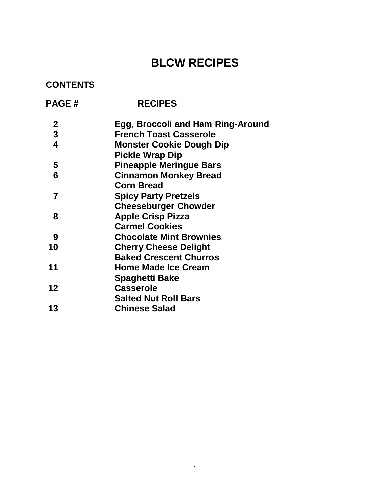# **BLCW RECIPES**

# **CONTENTS**

| <b>PAGE#</b>            | <b>RECIPES</b>                    |
|-------------------------|-----------------------------------|
| $\boldsymbol{2}$        | Egg, Broccoli and Ham Ring-Around |
| 3                       | <b>French Toast Casserole</b>     |
| $\overline{\mathbf{4}}$ | <b>Monster Cookie Dough Dip</b>   |
|                         | <b>Pickle Wrap Dip</b>            |
| 5                       | <b>Pineapple Meringue Bars</b>    |
| 6                       | <b>Cinnamon Monkey Bread</b>      |
|                         | <b>Corn Bread</b>                 |
| 7                       | <b>Spicy Party Pretzels</b>       |
|                         | <b>Cheeseburger Chowder</b>       |
| 8                       | <b>Apple Crisp Pizza</b>          |
|                         | <b>Carmel Cookies</b>             |
| 9                       | <b>Chocolate Mint Brownies</b>    |
| 10                      | <b>Cherry Cheese Delight</b>      |
|                         | <b>Baked Crescent Churros</b>     |
| 11                      | <b>Home Made Ice Cream</b>        |
|                         | <b>Spaghetti Bake</b>             |
| 12                      | <b>Casserole</b>                  |
|                         | <b>Salted Nut Roll Bars</b>       |
| 13                      | <b>Chinese Salad</b>              |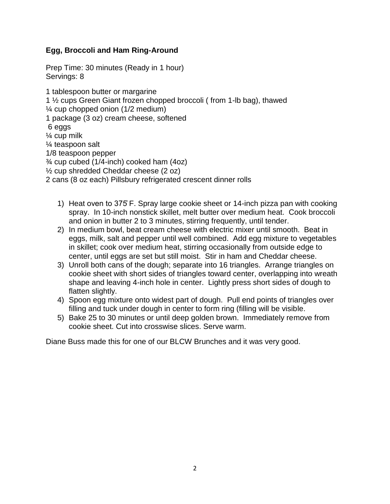# **Egg, Broccoli and Ham Ring-Around**

Prep Time: 30 minutes (Ready in 1 hour) Servings: 8

1 tablespoon butter or margarine 1 ½ cups Green Giant frozen chopped broccoli ( from 1-lb bag), thawed ¼ cup chopped onion (1/2 medium) 1 package (3 oz) cream cheese, softened 6 eggs ¼ cup milk ¼ teaspoon salt 1/8 teaspoon pepper  $\frac{3}{4}$  cup cubed (1/4-inch) cooked ham (4oz) ½ cup shredded Cheddar cheese (2 oz) 2 cans (8 oz each) Pillsbury refrigerated crescent dinner rolls

- 1) Heat oven to 375 F. Spray large cookie sheet or 14-inch pizza pan with cooking spray. In 10-inch nonstick skillet, melt butter over medium heat. Cook broccoli and onion in butter 2 to 3 minutes, stirring frequently, until tender.
- 2) In medium bowl, beat cream cheese with electric mixer until smooth. Beat in eggs, milk, salt and pepper until well combined. Add egg mixture to vegetables in skillet; cook over medium heat, stirring occasionally from outside edge to center, until eggs are set but still moist. Stir in ham and Cheddar cheese.
- 3) Unroll both cans of the dough; separate into 16 triangles. Arrange triangles on cookie sheet with short sides of triangles toward center, overlapping into wreath shape and leaving 4-inch hole in center. Lightly press short sides of dough to flatten slightly.
- 4) Spoon egg mixture onto widest part of dough. Pull end points of triangles over filling and tuck under dough in center to form ring (filling will be visible.
- 5) Bake 25 to 30 minutes or until deep golden brown. Immediately remove from cookie sheet. Cut into crosswise slices. Serve warm.

Diane Buss made this for one of our BLCW Brunches and it was very good.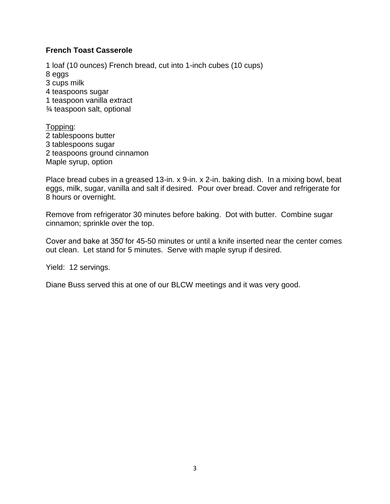#### **French Toast Casserole**

1 loaf (10 ounces) French bread, cut into 1-inch cubes (10 cups) 8 eggs 3 cups milk 4 teaspoons sugar 1 teaspoon vanilla extract ¾ teaspoon salt, optional

Topping: 2 tablespoons butter 3 tablespoons sugar 2 teaspoons ground cinnamon Maple syrup, option

Place bread cubes in a greased 13-in. x 9-in. x 2-in. baking dish. In a mixing bowl, beat eggs, milk, sugar, vanilla and salt if desired. Pour over bread. Cover and refrigerate for 8 hours or overnight.

Remove from refrigerator 30 minutes before baking. Dot with butter. Combine sugar cinnamon; sprinkle over the top.

Cover and bake at 350 for 45-50 minutes or until a knife inserted near the center comes out clean. Let stand for 5 minutes. Serve with maple syrup if desired.

Yield: 12 servings.

Diane Buss served this at one of our BLCW meetings and it was very good.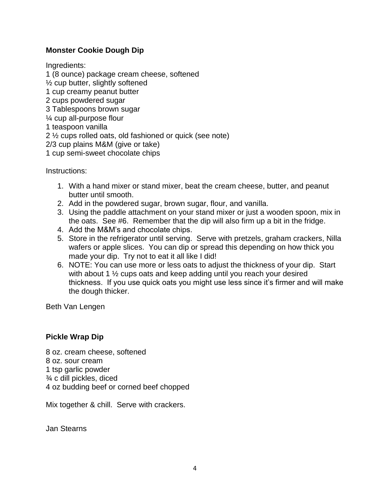# **Monster Cookie Dough Dip**

Ingredients:

1 (8 ounce) package cream cheese, softened  $\frac{1}{2}$  cup butter, slightly softened 1 cup creamy peanut butter 2 cups powdered sugar 3 Tablespoons brown sugar ¼ cup all-purpose flour 1 teaspoon vanilla 2 ½ cups rolled oats, old fashioned or quick (see note) 2/3 cup plains M&M (give or take) 1 cup semi-sweet chocolate chips

Instructions:

- 1. With a hand mixer or stand mixer, beat the cream cheese, butter, and peanut butter until smooth.
- 2. Add in the powdered sugar, brown sugar, flour, and vanilla.
- 3. Using the paddle attachment on your stand mixer or just a wooden spoon, mix in the oats. See #6. Remember that the dip will also firm up a bit in the fridge.
- 4. Add the M&M's and chocolate chips.
- 5. Store in the refrigerator until serving. Serve with pretzels, graham crackers, Nilla wafers or apple slices. You can dip or spread this depending on how thick you made your dip. Try not to eat it all like I did!
- 6. NOTE: You can use more or less oats to adjust the thickness of your dip. Start with about 1 ½ cups oats and keep adding until you reach your desired thickness. If you use quick oats you might use less since it's firmer and will make the dough thicker.

Beth Van Lengen

#### **Pickle Wrap Dip**

8 oz. cream cheese, softened 8 oz. sour cream 1 tsp garlic powder ¾ c dill pickles, diced 4 oz budding beef or corned beef chopped

Mix together & chill. Serve with crackers.

Jan Stearns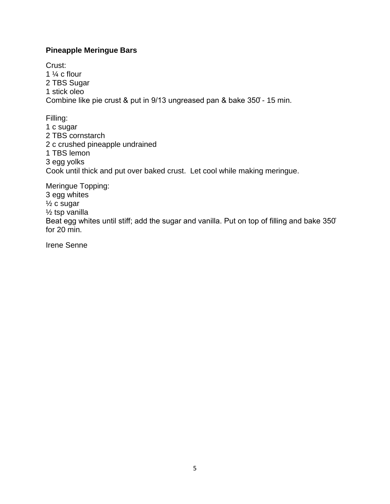### **Pineapple Meringue Bars**

Crust: 1  $\frac{1}{4}$  c flour 2 TBS Sugar 1 stick oleo Combine like pie crust & put in 9/13 ungreased pan & bake 350° - 15 min.

Filling: 1 c sugar 2 TBS cornstarch 2 c crushed pineapple undrained 1 TBS lemon 3 egg yolks Cook until thick and put over baked crust. Let cool while making meringue.

Meringue Topping: 3 egg whites ½ c sugar ½ tsp vanilla Beat egg whites until stiff; add the sugar and vanilla. Put on top of filling and bake 350° for 20 min.

Irene Senne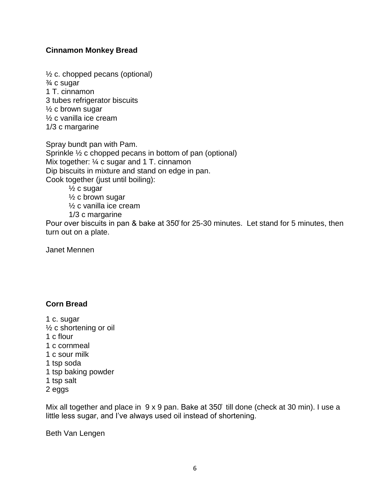### **Cinnamon Monkey Bread**

½ c. chopped pecans (optional) ¾ c sugar 1 T. cinnamon 3 tubes refrigerator biscuits ½ c brown sugar ½ c vanilla ice cream 1/3 c margarine

Spray bundt pan with Pam. Sprinkle ½ c chopped pecans in bottom of pan (optional) Mix together:  $\frac{1}{4}$  c sugar and 1 T. cinnamon Dip biscuits in mixture and stand on edge in pan. Cook together (just until boiling):

½ c sugar ½ c brown sugar ½ c vanilla ice cream

1/3 c margarine

Pour over biscuits in pan & bake at 350° for 25-30 minutes. Let stand for 5 minutes, then turn out on a plate.

Janet Mennen

# **Corn Bread**

1 c. sugar ½ c shortening or oil 1 c flour 1 c cornmeal 1 c sour milk 1 tsp soda 1 tsp baking powder 1 tsp salt 2 eggs

Mix all together and place in  $9 \times 9$  pan. Bake at  $350^\circ$  till done (check at 30 min). I use a little less sugar, and I've always used oil instead of shortening.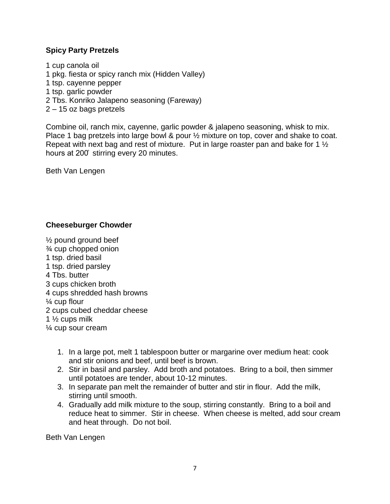#### **Spicy Party Pretzels**

1 cup canola oil 1 pkg. fiesta or spicy ranch mix (Hidden Valley) 1 tsp. cayenne pepper 1 tsp. garlic powder 2 Tbs. Konriko Jalapeno seasoning (Fareway) 2 – 15 oz bags pretzels

Combine oil, ranch mix, cayenne, garlic powder & jalapeno seasoning, whisk to mix. Place 1 bag pretzels into large bowl & pour ½ mixture on top, cover and shake to coat. Repeat with next bag and rest of mixture. Put in large roaster pan and bake for 1 ½ hours at 200° stirring every 20 minutes.

Beth Van Lengen

#### **Cheeseburger Chowder**

- ½ pound ground beef ¾ cup chopped onion 1 tsp. dried basil 1 tsp. dried parsley 4 Tbs. butter 3 cups chicken broth 4 cups shredded hash browns ¼ cup flour 2 cups cubed cheddar cheese 1 ½ cups milk ¼ cup sour cream
	- 1. In a large pot, melt 1 tablespoon butter or margarine over medium heat: cook and stir onions and beef, until beef is brown.
	- 2. Stir in basil and parsley. Add broth and potatoes. Bring to a boil, then simmer until potatoes are tender, about 10-12 minutes.
	- 3. In separate pan melt the remainder of butter and stir in flour. Add the milk, stirring until smooth.
	- 4. Gradually add milk mixture to the soup, stirring constantly. Bring to a boil and reduce heat to simmer. Stir in cheese. When cheese is melted, add sour cream and heat through. Do not boil.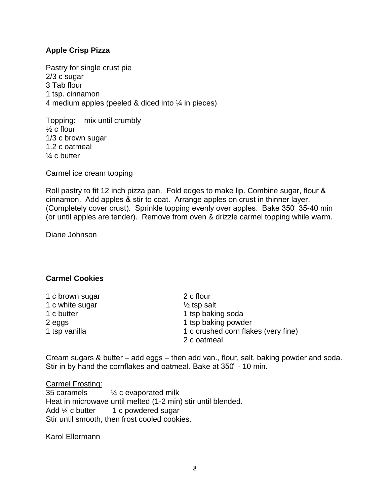#### **Apple Crisp Pizza**

Pastry for single crust pie 2/3 c sugar 3 Tab flour 1 tsp. cinnamon 4 medium apples (peeled & diced into ¼ in pieces)

Topping: mix until crumbly ½ c flour 1/3 c brown sugar 1.2 c oatmeal ¼ c butter

Carmel ice cream topping

Roll pastry to fit 12 inch pizza pan. Fold edges to make lip. Combine sugar, flour & cinnamon. Add apples & stir to coat. Arrange apples on crust in thinner layer. (Completely cover crust). Sprinkle topping evenly over apples. Bake 350 35-40 min (or until apples are tender). Remove from oven & drizzle carmel topping while warm.

Diane Johnson

# **Carmel Cookies**

| 1 c brown sugar | 2 c flour                           |
|-----------------|-------------------------------------|
| 1 c white sugar | $\frac{1}{2}$ tsp salt              |
| 1 c butter      | 1 tsp baking soda                   |
| 2 eggs          | 1 tsp baking powder                 |
| 1 tsp vanilla   | 1 c crushed corn flakes (very fine) |
|                 | 2 c oatmeal                         |

Cream sugars & butter  $-$  add eggs  $-$  then add van., flour, salt, baking powder and soda. Stir in by hand the cornflakes and oatmeal. Bake at  $350^\circ$  - 10 min.

Carmel Frosting:<br>35 caramels  $\frac{1}{4}$  c evaporated milk Heat in microwave until melted (1-2 min) stir until blended. Add  $\frac{1}{4}$  c butter 1 c powdered sugar Stir until smooth, then frost cooled cookies.

Karol Ellermann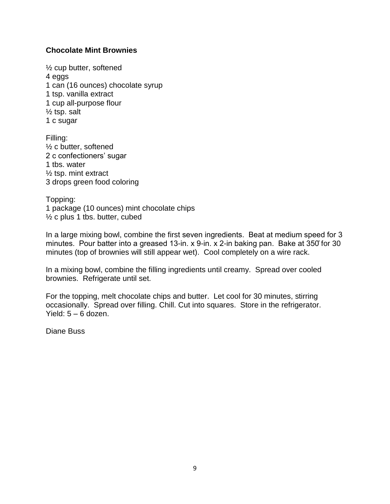#### **Chocolate Mint Brownies**

½ cup butter, softened 4 eggs 1 can (16 ounces) chocolate syrup 1 tsp. vanilla extract 1 cup all-purpose flour  $\frac{1}{2}$  tsp. salt 1 c sugar

Filling: ½ c butter, softened 2 c confectioners' sugar 1 tbs. water ½ tsp. mint extract 3 drops green food coloring

Topping: 1 package (10 ounces) mint chocolate chips ½ c plus 1 tbs. butter, cubed

In a large mixing bowl, combine the first seven ingredients. Beat at medium speed for 3 minutes. Pour batter into a greased 13-in. x 9-in. x 2-in baking pan. Bake at  $350^{\circ}$  for 30 minutes (top of brownies will still appear wet). Cool completely on a wire rack.

In a mixing bowl, combine the filling ingredients until creamy. Spread over cooled brownies. Refrigerate until set.

For the topping, melt chocolate chips and butter. Let cool for 30 minutes, stirring occasionally. Spread over filling. Chill. Cut into squares. Store in the refrigerator. Yield: 5 – 6 dozen.

Diane Buss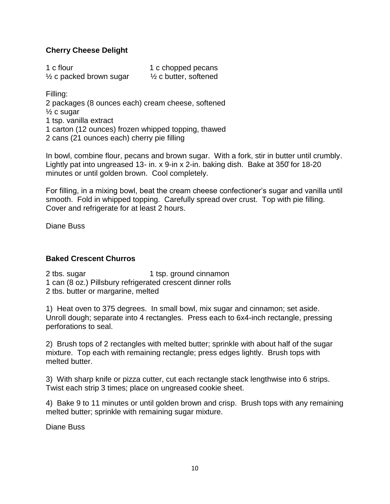# **Cherry Cheese Delight**

| 1 c flour                          | 1 c chopped pecans               |
|------------------------------------|----------------------------------|
| $\frac{1}{2}$ c packed brown sugar | $\frac{1}{2}$ c butter, softened |

Filling:

2 packages (8 ounces each) cream cheese, softened

½ c sugar

1 tsp. vanilla extract

1 carton (12 ounces) frozen whipped topping, thawed

2 cans (21 ounces each) cherry pie filling

In bowl, combine flour, pecans and brown sugar. With a fork, stir in butter until crumbly. Lightly pat into ungreased 13- in. x 9-in x 2-in. baking dish. Bake at  $350$  for 18-20 minutes or until golden brown. Cool completely.

For filling, in a mixing bowl, beat the cream cheese confectioner's sugar and vanilla until smooth. Fold in whipped topping. Carefully spread over crust. Top with pie filling. Cover and refrigerate for at least 2 hours.

Diane Buss

#### **Baked Crescent Churros**

2 tbs. sugar 1 tsp. ground cinnamon 1 can (8 oz.) Pillsbury refrigerated crescent dinner rolls 2 tbs. butter or margarine, melted

1) Heat oven to 375 degrees. In small bowl, mix sugar and cinnamon; set aside. Unroll dough; separate into 4 rectangles. Press each to 6x4-inch rectangle, pressing perforations to seal.

2) Brush tops of 2 rectangles with melted butter; sprinkle with about half of the sugar mixture. Top each with remaining rectangle; press edges lightly. Brush tops with melted butter.

3) With sharp knife or pizza cutter, cut each rectangle stack lengthwise into 6 strips. Twist each strip 3 times; place on ungreased cookie sheet.

4) Bake 9 to 11 minutes or until golden brown and crisp. Brush tops with any remaining melted butter; sprinkle with remaining sugar mixture.

Diane Buss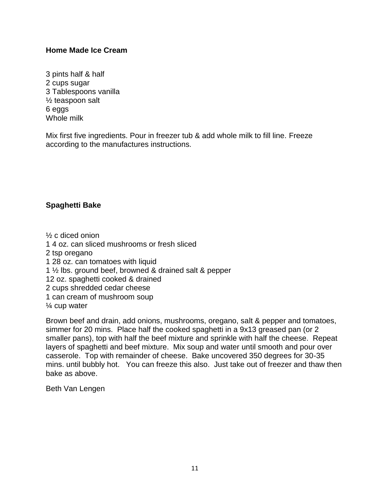#### **Home Made Ice Cream**

3 pints half & half 2 cups sugar 3 Tablespoons vanilla ½ teaspoon salt 6 eggs Whole milk

Mix first five ingredients. Pour in freezer tub & add whole milk to fill line. Freeze according to the manufactures instructions.

### **Spaghetti Bake**

½ c diced onion

1 4 oz. can sliced mushrooms or fresh sliced

- 2 tsp oregano
- 1 28 oz. can tomatoes with liquid
- 1 ½ lbs. ground beef, browned & drained salt & pepper

12 oz. spaghetti cooked & drained

- 2 cups shredded cedar cheese
- 1 can cream of mushroom soup

¼ cup water

Brown beef and drain, add onions, mushrooms, oregano, salt & pepper and tomatoes, simmer for 20 mins. Place half the cooked spaghetti in a 9x13 greased pan (or 2 smaller pans), top with half the beef mixture and sprinkle with half the cheese. Repeat layers of spaghetti and beef mixture. Mix soup and water until smooth and pour over casserole. Top with remainder of cheese. Bake uncovered 350 degrees for 30-35 mins. until bubbly hot. You can freeze this also. Just take out of freezer and thaw then bake as above.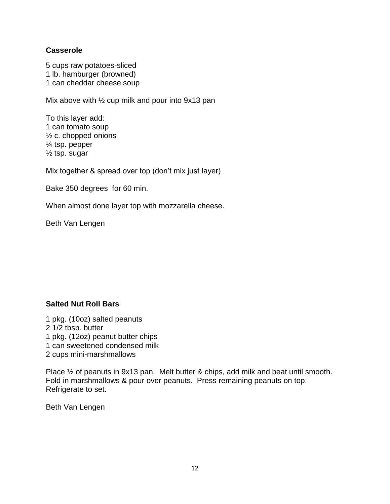#### **Casserole**

5 cups raw potatoes-sliced 1 lb. hamburger (browned) 1 can cheddar cheese soup

Mix above with ½ cup milk and pour into 9x13 pan

To this layer add: 1 can tomato soup ½ c. chopped onions ¼ tsp. pepper ½ tsp. sugar

Mix together & spread over top (don't mix just layer)

Bake 350 degrees for 60 min.

When almost done layer top with mozzarella cheese.

Beth Van Lengen

#### **Salted Nut Roll Bars**

- 1 pkg. (10oz) salted peanuts 2 1/2 tbsp. butter
- 
- 1 pkg. (12oz) peanut butter chips
- 1 can sweetened condensed milk
- 2 cups mini-marshmallows

Place ½ of peanuts in 9x13 pan. Melt butter & chips, add milk and beat until smooth. Fold in marshmallows & pour over peanuts. Press remaining peanuts on top. Refrigerate to set.